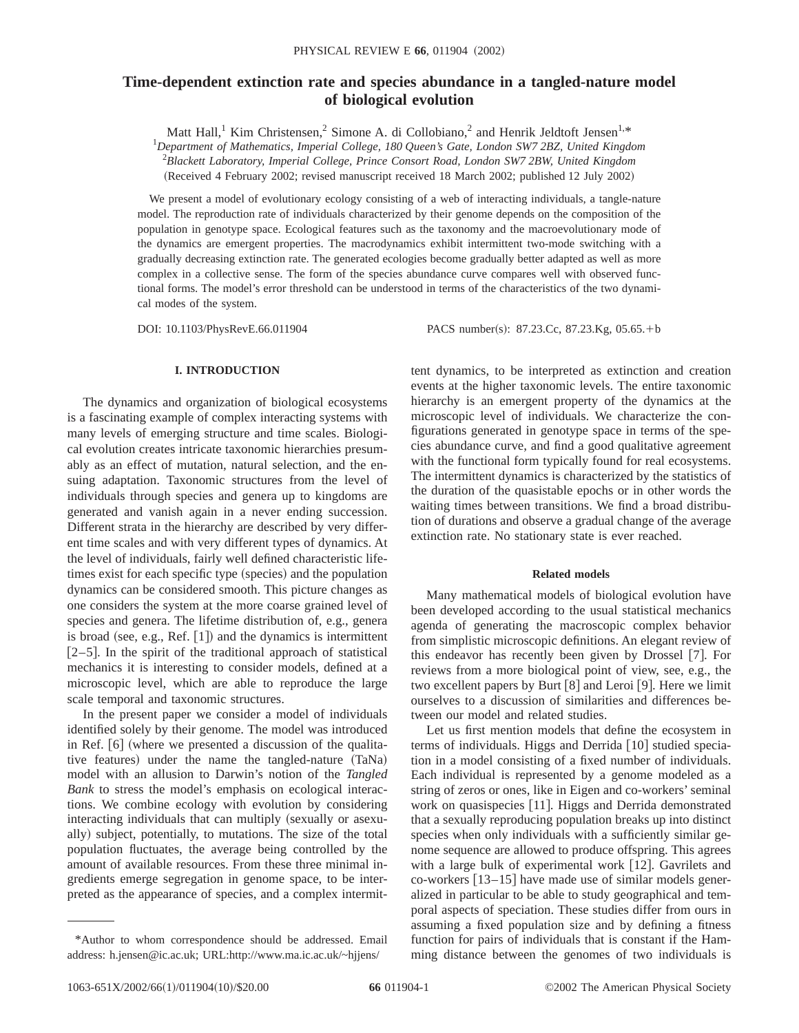# **Time-dependent extinction rate and species abundance in a tangled-nature model of biological evolution**

Matt Hall,<sup>1</sup> Kim Christensen,<sup>2</sup> Simone A. di Collobiano,<sup>2</sup> and Henrik Jeldtoft Jensen<sup>1,\*</sup>

*Department of Mathematics, Imperial College, 180 Queen's Gate, London SW7 2BZ, United Kingdom* 2 *Blackett Laboratory, Imperial College, Prince Consort Road, London SW7 2BW, United Kingdom*

(Received 4 February 2002; revised manuscript received 18 March 2002; published 12 July 2002)

We present a model of evolutionary ecology consisting of a web of interacting individuals, a tangle-nature model. The reproduction rate of individuals characterized by their genome depends on the composition of the population in genotype space. Ecological features such as the taxonomy and the macroevolutionary mode of the dynamics are emergent properties. The macrodynamics exhibit intermittent two-mode switching with a gradually decreasing extinction rate. The generated ecologies become gradually better adapted as well as more complex in a collective sense. The form of the species abundance curve compares well with observed functional forms. The model's error threshold can be understood in terms of the characteristics of the two dynamical modes of the system.

DOI: 10.1103/PhysRevE.66.011904 PACS number(s): 87.23.Cc, 87.23.Kg, 05.65.+b

# **I. INTRODUCTION**

The dynamics and organization of biological ecosystems is a fascinating example of complex interacting systems with many levels of emerging structure and time scales. Biological evolution creates intricate taxonomic hierarchies presumably as an effect of mutation, natural selection, and the ensuing adaptation. Taxonomic structures from the level of individuals through species and genera up to kingdoms are generated and vanish again in a never ending succession. Different strata in the hierarchy are described by very different time scales and with very different types of dynamics. At the level of individuals, fairly well defined characteristic lifetimes exist for each specific type (species) and the population dynamics can be considered smooth. This picture changes as one considers the system at the more coarse grained level of species and genera. The lifetime distribution of, e.g., genera is broad (see, e.g., Ref.  $[1]$ ) and the dynamics is intermittent  $[2-5]$ . In the spirit of the traditional approach of statistical mechanics it is interesting to consider models, defined at a microscopic level, which are able to reproduce the large scale temporal and taxonomic structures.

In the present paper we consider a model of individuals identified solely by their genome. The model was introduced in Ref.  $[6]$  (where we presented a discussion of the qualitative features) under the name the tangled-nature (TaNa) model with an allusion to Darwin's notion of the *Tangled Bank* to stress the model's emphasis on ecological interactions. We combine ecology with evolution by considering interacting individuals that can multiply (sexually or asexually) subject, potentially, to mutations. The size of the total population fluctuates, the average being controlled by the amount of available resources. From these three minimal ingredients emerge segregation in genome space, to be interpreted as the appearance of species, and a complex intermittent dynamics, to be interpreted as extinction and creation events at the higher taxonomic levels. The entire taxonomic hierarchy is an emergent property of the dynamics at the microscopic level of individuals. We characterize the configurations generated in genotype space in terms of the species abundance curve, and find a good qualitative agreement with the functional form typically found for real ecosystems. The intermittent dynamics is characterized by the statistics of the duration of the quasistable epochs or in other words the waiting times between transitions. We find a broad distribution of durations and observe a gradual change of the average extinction rate. No stationary state is ever reached.

# **Related models**

Many mathematical models of biological evolution have been developed according to the usual statistical mechanics agenda of generating the macroscopic complex behavior from simplistic microscopic definitions. An elegant review of this endeavor has recently been given by Drossel  $[7]$ . For reviews from a more biological point of view, see, e.g., the two excellent papers by Burt  $[8]$  and Leroi  $[9]$ . Here we limit ourselves to a discussion of similarities and differences between our model and related studies.

Let us first mention models that define the ecosystem in terms of individuals. Higgs and Derrida  $[10]$  studied speciation in a model consisting of a fixed number of individuals. Each individual is represented by a genome modeled as a string of zeros or ones, like in Eigen and co-workers' seminal work on quasispecies [11]. Higgs and Derrida demonstrated that a sexually reproducing population breaks up into distinct species when only individuals with a sufficiently similar genome sequence are allowed to produce offspring. This agrees with a large bulk of experimental work  $[12]$ . Gavrilets and  $co$ -workers  $[13-15]$  have made use of similar models generalized in particular to be able to study geographical and temporal aspects of speciation. These studies differ from ours in assuming a fixed population size and by defining a fitness function for pairs of individuals that is constant if the Hamming distance between the genomes of two individuals is

<sup>\*</sup>Author to whom correspondence should be addressed. Email address: h.jensen@ic.ac.uk; URL:http://www.ma.ic.ac.uk/~hjjens/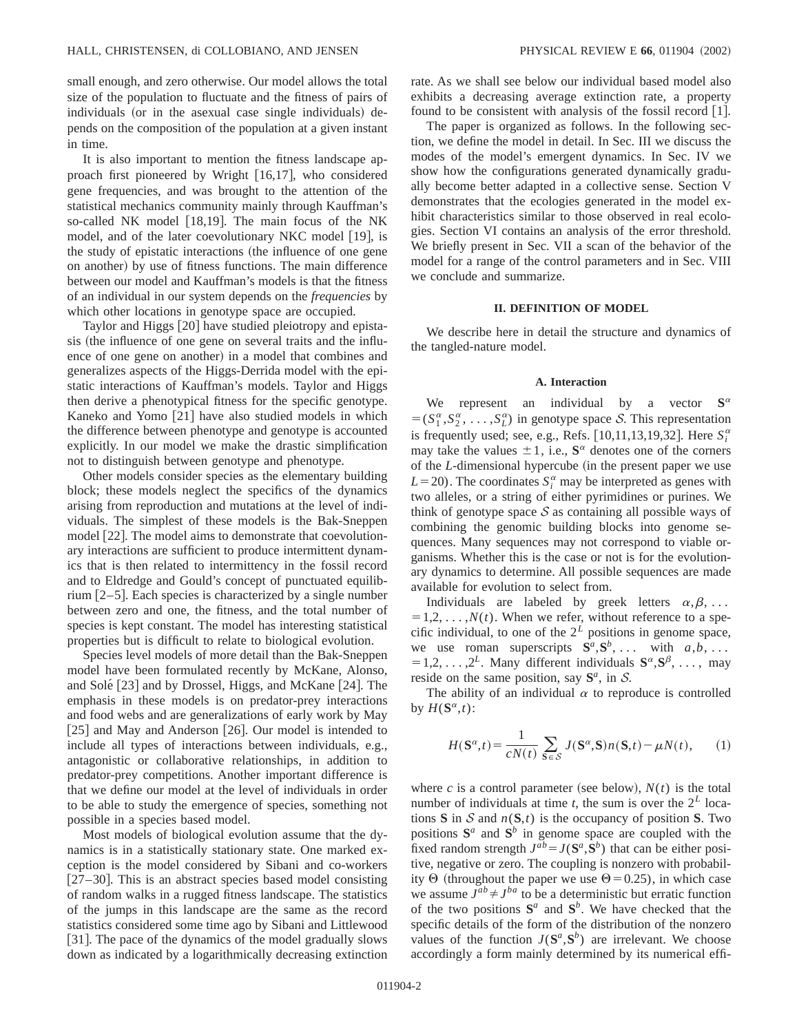small enough, and zero otherwise. Our model allows the total size of the population to fluctuate and the fitness of pairs of individuals (or in the asexual case single individuals) depends on the composition of the population at a given instant in time.

It is also important to mention the fitness landscape approach first pioneered by Wright  $[16,17]$ , who considered gene frequencies, and was brought to the attention of the statistical mechanics community mainly through Kauffman's so-called NK model [18,19]. The main focus of the NK model, and of the later coevolutionary NKC model [19], is the study of epistatic interactions (the influence of one gene on another) by use of fitness functions. The main difference between our model and Kauffman's models is that the fitness of an individual in our system depends on the *frequencies* by which other locations in genotype space are occupied.

Taylor and Higgs [20] have studied pleiotropy and epistasis (the influence of one gene on several traits and the influence of one gene on another) in a model that combines and generalizes aspects of the Higgs-Derrida model with the epistatic interactions of Kauffman's models. Taylor and Higgs then derive a phenotypical fitness for the specific genotype. Kaneko and Yomo  $[21]$  have also studied models in which the difference between phenotype and genotype is accounted explicitly. In our model we make the drastic simplification not to distinguish between genotype and phenotype.

Other models consider species as the elementary building block; these models neglect the specifics of the dynamics arising from reproduction and mutations at the level of individuals. The simplest of these models is the Bak-Sneppen model  $[22]$ . The model aims to demonstrate that coevolutionary interactions are sufficient to produce intermittent dynamics that is then related to intermittency in the fossil record and to Eldredge and Gould's concept of punctuated equilibrium  $[2-5]$ . Each species is characterized by a single number between zero and one, the fitness, and the total number of species is kept constant. The model has interesting statistical properties but is difficult to relate to biological evolution.

Species level models of more detail than the Bak-Sneppen model have been formulated recently by McKane, Alonso, and Sole<sup> $[23]$ </sup> and by Drossel, Higgs, and McKane  $[24]$ . The emphasis in these models is on predator-prey interactions and food webs and are generalizations of early work by May  $[25]$  and May and Anderson  $[26]$ . Our model is intended to include all types of interactions between individuals, e.g., antagonistic or collaborative relationships, in addition to predator-prey competitions. Another important difference is that we define our model at the level of individuals in order to be able to study the emergence of species, something not possible in a species based model.

Most models of biological evolution assume that the dynamics is in a statistically stationary state. One marked exception is the model considered by Sibani and co-workers  $[27–30]$ . This is an abstract species based model consisting of random walks in a rugged fitness landscape. The statistics of the jumps in this landscape are the same as the record statistics considered some time ago by Sibani and Littlewood [31]. The pace of the dynamics of the model gradually slows down as indicated by a logarithmically decreasing extinction rate. As we shall see below our individual based model also exhibits a decreasing average extinction rate, a property found to be consistent with analysis of the fossil record  $[1]$ .

The paper is organized as follows. In the following section, we define the model in detail. In Sec. III we discuss the modes of the model's emergent dynamics. In Sec. IV we show how the configurations generated dynamically gradually become better adapted in a collective sense. Section V demonstrates that the ecologies generated in the model exhibit characteristics similar to those observed in real ecologies. Section VI contains an analysis of the error threshold. We briefly present in Sec. VII a scan of the behavior of the model for a range of the control parameters and in Sec. VIII we conclude and summarize.

# **II. DEFINITION OF MODEL**

We describe here in detail the structure and dynamics of the tangled-nature model.

#### **A. Interaction**

We represent an individual by a vector  $S^{\alpha}$  $= (S_1^{\alpha}, S_2^{\alpha}, \dots, S_L^{\alpha})$  in genotype space S. This representation is frequently used; see, e.g., Refs.  $[10,11,13,19,32]$ . Here  $S_i^{\alpha}$ may take the values  $\pm 1$ , i.e.,  $S^{\alpha}$  denotes one of the corners of the *L*-dimensional hypercube (in the present paper we use  $L=20$ ). The coordinates  $S_i^{\alpha}$  may be interpreted as genes with two alleles, or a string of either pyrimidines or purines. We think of genotype space  $S$  as containing all possible ways of combining the genomic building blocks into genome sequences. Many sequences may not correspond to viable organisms. Whether this is the case or not is for the evolutionary dynamics to determine. All possible sequences are made available for evolution to select from.

Individuals are labeled by greek letters  $\alpha, \beta, \ldots$  $=1,2,\ldots,N(t)$ . When we refer, without reference to a specific individual, to one of the  $2^L$  positions in genome space, we use roman superscripts  $S^a, S^b, \ldots$  with  $a, b, \ldots$  $= 1,2,\ldots,2^L$ . Many different individuals  $S^{\alpha}, S^{\beta}, \ldots$ , may reside on the same position, say  $S^a$ , in S.

The ability of an individual  $\alpha$  to reproduce is controlled by  $H(\mathbf{S}^{\alpha},t)$ :

$$
H(\mathbf{S}^{\alpha},t) = \frac{1}{cN(t)} \sum_{\mathbf{S} \in \mathcal{S}} J(\mathbf{S}^{\alpha},\mathbf{S})n(\mathbf{S},t) - \mu N(t), \qquad (1)
$$

where *c* is a control parameter (see below),  $N(t)$  is the total number of individuals at time *t*, the sum is over the  $2^L$  locations **S** in S and  $n(S, t)$  is the occupancy of position **S**. Two positions  $S^a$  and  $S^b$  in genome space are coupled with the fixed random strength  $J^{ab} = J(\mathbf{S}^a, \mathbf{S}^b)$  that can be either positive, negative or zero. The coupling is nonzero with probability  $\Theta$  (throughout the paper we use  $\Theta$  = 0.25), in which case we assume  $J^{ab} \neq J^{ba}$  to be a deterministic but erratic function of the two positions  $S^a$  and  $S^b$ . We have checked that the specific details of the form of the distribution of the nonzero values of the function  $J(\mathbf{S}^a, \mathbf{S}^b)$  are irrelevant. We choose accordingly a form mainly determined by its numerical effi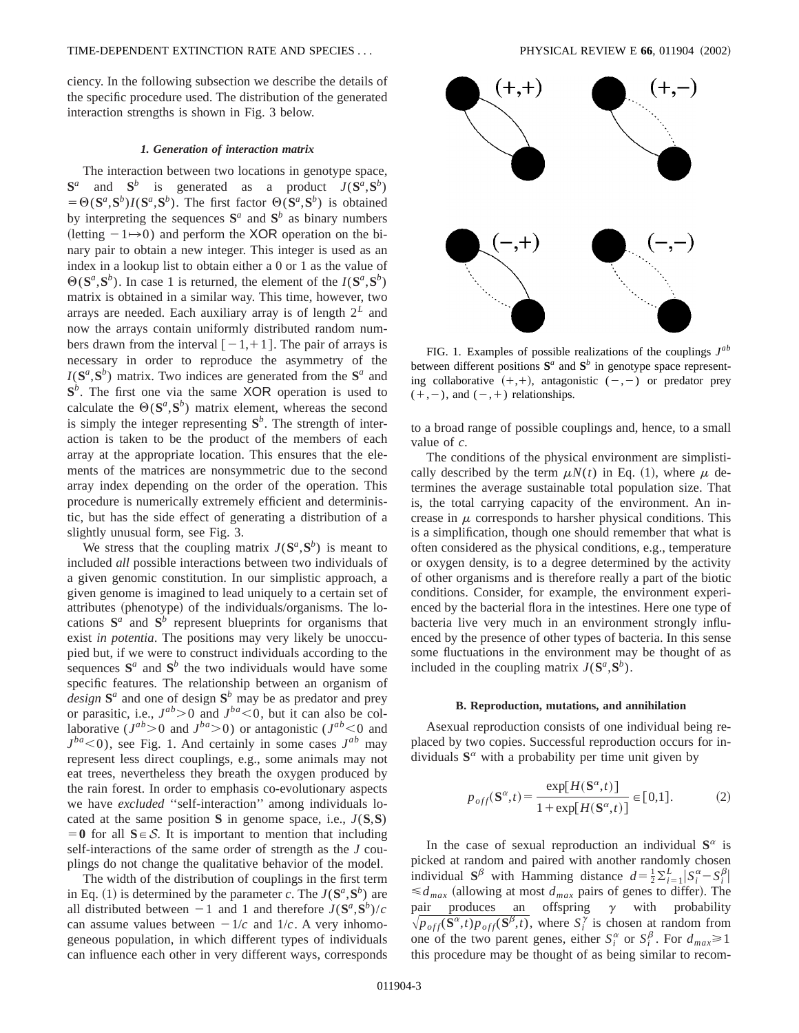ciency. In the following subsection we describe the details of the specific procedure used. The distribution of the generated interaction strengths is shown in Fig. 3 below.

#### *1. Generation of interaction matrix*

The interaction between two locations in genotype space,  $S^a$  and  $S^b$  is generated as a product  $J(S^a, S^b)$  $= \Theta(\mathbf{S}^a, \mathbf{S}^b)I(\mathbf{S}^a, \mathbf{S}^b)$ . The first factor  $\Theta(\mathbf{S}^a, \mathbf{S}^b)$  is obtained by interpreting the sequences  $S^a$  and  $S^b$  as binary numbers (letting  $-1\rightarrow 0$ ) and perform the XOR operation on the binary pair to obtain a new integer. This integer is used as an index in a lookup list to obtain either a 0 or 1 as the value of  $\Theta(\mathbf{S}^a, \mathbf{S}^b)$ . In case 1 is returned, the element of the  $I(\mathbf{S}^a, \mathbf{S}^b)$ matrix is obtained in a similar way. This time, however, two arrays are needed. Each auxiliary array is of length 2*<sup>L</sup>* and now the arrays contain uniformly distributed random numbers drawn from the interval  $[-1,1]$ . The pair of arrays is necessary in order to reproduce the asymmetry of the  $I(S^a, S^b)$  matrix. Two indices are generated from the  $S^a$  and **S***b*. The first one via the same XOR operation is used to calculate the  $\Theta(\mathbf{S}^a, \mathbf{S}^b)$  matrix element, whereas the second is simply the integer representing  $S^b$ . The strength of interaction is taken to be the product of the members of each array at the appropriate location. This ensures that the elements of the matrices are nonsymmetric due to the second array index depending on the order of the operation. This procedure is numerically extremely efficient and deterministic, but has the side effect of generating a distribution of a slightly unusual form, see Fig. 3.

We stress that the coupling matrix  $J(\mathbf{S}^a, \mathbf{S}^b)$  is meant to included *all* possible interactions between two individuals of a given genomic constitution. In our simplistic approach, a given genome is imagined to lead uniquely to a certain set of attributes (phenotype) of the individuals/organisms. The locations  $S^a$  and  $S^b$  represent blueprints for organisms that exist *in potentia*. The positions may very likely be unoccupied but, if we were to construct individuals according to the sequences  $S^a$  and  $S^b$  the two individuals would have some specific features. The relationship between an organism of *design* **S***<sup>a</sup>* and one of design **S***<sup>b</sup>* may be as predator and prey or parasitic, i.e.,  $J^{ab} > 0$  and  $J^{ba} < 0$ , but it can also be collaborative ( $J^{ab}$  > 0 and  $J^{ba}$  > 0) or antagonistic ( $J^{ab}$  < 0 and  $J^{ba}$  < 0), see Fig. 1. And certainly in some cases  $J^{ab}$  may represent less direct couplings, e.g., some animals may not eat trees, nevertheless they breath the oxygen produced by the rain forest. In order to emphasis co-evolutionary aspects we have *excluded* ''self-interaction'' among individuals located at the same position **S** in genome space, i.e.,  $J(S, S)$  $= 0$  for all  $S \in S$ . It is important to mention that including self-interactions of the same order of strength as the *J* couplings do not change the qualitative behavior of the model.

The width of the distribution of couplings in the first term in Eq. (1) is determined by the parameter *c*. The  $J(\mathbf{S}^a, \mathbf{S}^b)$  are all distributed between  $-1$  and 1 and therefore  $J(\mathbf{S}^a, \mathbf{S}^b)/c$ can assume values between  $-1/c$  and  $1/c$ . A very inhomogeneous population, in which different types of individuals can influence each other in very different ways, corresponds



FIG. 1. Examples of possible realizations of the couplings *Jab* between different positions  $S^a$  and  $S^b$  in genotype space representing collaborative  $(+,+)$ , antagonistic  $(-,-)$  or predator prey  $(+,-)$ , and  $(-,+)$  relationships.

to a broad range of possible couplings and, hence, to a small value of *c*.

The conditions of the physical environment are simplistically described by the term  $\mu N(t)$  in Eq. (1), where  $\mu$  determines the average sustainable total population size. That is, the total carrying capacity of the environment. An increase in  $\mu$  corresponds to harsher physical conditions. This is a simplification, though one should remember that what is often considered as the physical conditions, e.g., temperature or oxygen density, is to a degree determined by the activity of other organisms and is therefore really a part of the biotic conditions. Consider, for example, the environment experienced by the bacterial flora in the intestines. Here one type of bacteria live very much in an environment strongly influenced by the presence of other types of bacteria. In this sense some fluctuations in the environment may be thought of as included in the coupling matrix  $J(\mathbf{S}^a, \mathbf{S}^b)$ .

#### **B. Reproduction, mutations, and annihilation**

Asexual reproduction consists of one individual being replaced by two copies. Successful reproduction occurs for individuals  $S^{\alpha}$  with a probability per time unit given by

$$
p_{off}(\mathbf{S}^{\alpha},t) = \frac{\exp[H(\mathbf{S}^{\alpha},t)]}{1 + \exp[H(\mathbf{S}^{\alpha},t)]} \in [0,1].
$$
 (2)

In the case of sexual reproduction an individual  $S^{\alpha}$  is picked at random and paired with another randomly chosen individual  $S^{\beta}$  with Hamming distance  $d = \frac{1}{2} \sum_{i=1}^{L} |S_i^{\alpha} - S_i^{\beta}|$  $\leq d_{max}$  (allowing at most  $d_{max}$  pairs of genes to differ). The pair produces an offspring  $\gamma$  with probability  $\sqrt{p_{off}(\mathbf{S}^{\alpha},t)p_{off}(\mathbf{S}^{\beta},t)}$ , where  $S_i^{\gamma}$  is chosen at random from one of the two parent genes, either  $S_i^{\alpha}$  or  $S_i^{\beta}$ . For  $d_{max} \ge 1$ this procedure may be thought of as being similar to recom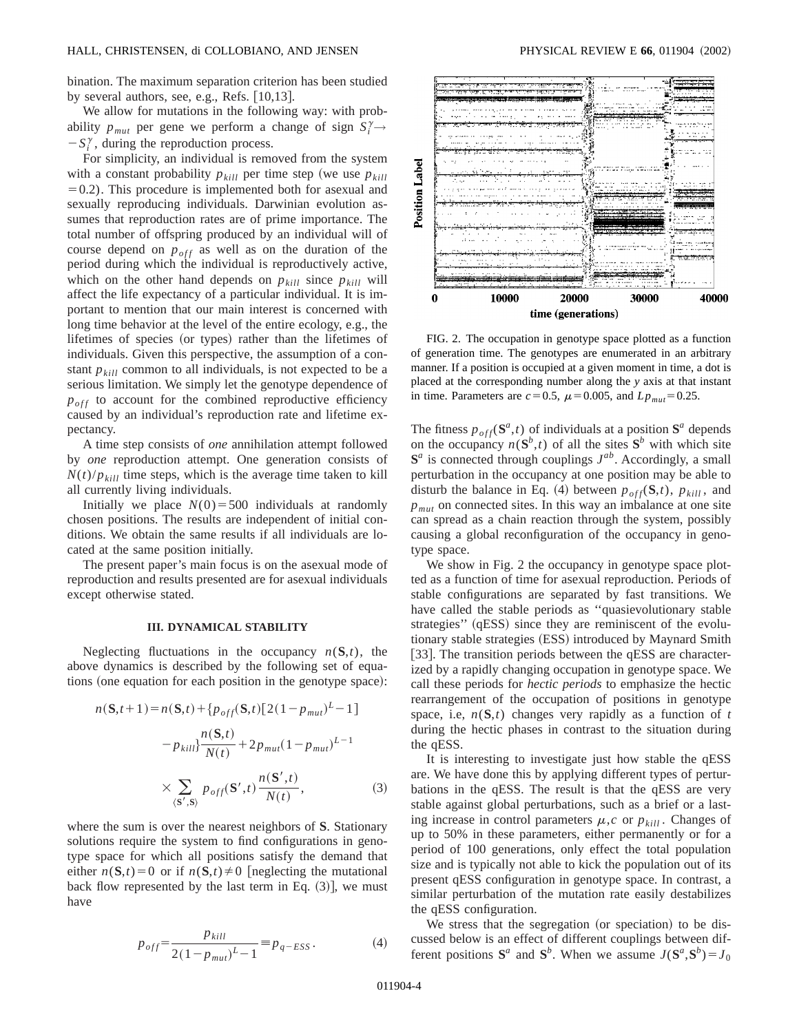bination. The maximum separation criterion has been studied by several authors, see, e.g., Refs.  $[10,13]$ .

We allow for mutations in the following way: with probability  $p_{mut}$  per gene we perform a change of sign  $S_i^{\gamma} \rightarrow$  $-S_i^{\gamma}$ , during the reproduction process.

For simplicity, an individual is removed from the system with a constant probability  $p_{kill}$  per time step (we use  $p_{kill}$  $=0.2$ ). This procedure is implemented both for asexual and sexually reproducing individuals. Darwinian evolution assumes that reproduction rates are of prime importance. The total number of offspring produced by an individual will of course depend on  $p_{off}$  as well as on the duration of the period during which the individual is reproductively active, which on the other hand depends on  $p_{kill}$  since  $p_{kill}$  will affect the life expectancy of a particular individual. It is important to mention that our main interest is concerned with long time behavior at the level of the entire ecology, e.g., the lifetimes of species (or types) rather than the lifetimes of individuals. Given this perspective, the assumption of a constant  $p_{kill}$  common to all individuals, is not expected to be a serious limitation. We simply let the genotype dependence of  $p_{off}$  to account for the combined reproductive efficiency caused by an individual's reproduction rate and lifetime expectancy.

A time step consists of *one* annihilation attempt followed by *one* reproduction attempt. One generation consists of  $N(t)/p_{kill}$  time steps, which is the average time taken to kill all currently living individuals.

Initially we place  $N(0) = 500$  individuals at randomly chosen positions. The results are independent of initial conditions. We obtain the same results if all individuals are located at the same position initially.

The present paper's main focus is on the asexual mode of reproduction and results presented are for asexual individuals except otherwise stated.

#### **III. DYNAMICAL STABILITY**

Neglecting fluctuations in the occupancy  $n(S,t)$ , the above dynamics is described by the following set of equations (one equation for each position in the genotype space):

$$
n(\mathbf{S}, t+1) = n(\mathbf{S}, t) + \{p_{off}(\mathbf{S}, t)[2(1 - p_{mut})^L - 1] - p_{kill}\} \frac{n(\mathbf{S}, t)}{N(t)} + 2p_{mut}(1 - p_{mut})^{L-1}
$$

$$
\times \sum_{\langle \mathbf{S}', \mathbf{S} \rangle} p_{off}(\mathbf{S}', t) \frac{n(\mathbf{S}', t)}{N(t)}, \tag{3}
$$

where the sum is over the nearest neighbors of **S**. Stationary solutions require the system to find configurations in genotype space for which all positions satisfy the demand that either  $n(S,t)=0$  or if  $n(S,t)\neq0$  [neglecting the mutational back flow represented by the last term in Eq.  $(3)$ ], we must have

$$
p_{off} = \frac{p_{kill}}{2(1 - p_{mut})^L - 1} \equiv p_{q - ESS}.
$$
 (4)



FIG. 2. The occupation in genotype space plotted as a function of generation time. The genotypes are enumerated in an arbitrary manner. If a position is occupied at a given moment in time, a dot is placed at the corresponding number along the *y* axis at that instant in time. Parameters are  $c = 0.5$ ,  $\mu = 0.005$ , and  $L_{p_{mut}} = 0.25$ .

The fitness  $p_{off}(\mathbf{S}^a, t)$  of individuals at a position  $\mathbf{S}^a$  depends on the occupancy  $n(S^b, t)$  of all the sites  $S^b$  with which site  $S^a$  is connected through couplings  $J^{ab}$ . Accordingly, a small perturbation in the occupancy at one position may be able to disturb the balance in Eq. (4) between  $p_{off}(S,t)$ ,  $p_{kill}$ , and  $p<sub>mut</sub>$  on connected sites. In this way an imbalance at one site can spread as a chain reaction through the system, possibly causing a global reconfiguration of the occupancy in genotype space.

We show in Fig. 2 the occupancy in genotype space plotted as a function of time for asexual reproduction. Periods of stable configurations are separated by fast transitions. We have called the stable periods as ''quasievolutionary stable strategies" (qESS) since they are reminiscent of the evolutionary stable strategies (ESS) introduced by Maynard Smith [33]. The transition periods between the qESS are characterized by a rapidly changing occupation in genotype space. We call these periods for *hectic periods* to emphasize the hectic rearrangement of the occupation of positions in genotype space, i.e, *n*(**S**,*t*) changes very rapidly as a function of *t* during the hectic phases in contrast to the situation during the qESS.

It is interesting to investigate just how stable the qESS are. We have done this by applying different types of perturbations in the qESS. The result is that the qESS are very stable against global perturbations, such as a brief or a lasting increase in control parameters  $\mu$ , *c* or  $p_{kill}$ . Changes of up to 50% in these parameters, either permanently or for a period of 100 generations, only effect the total population size and is typically not able to kick the population out of its present qESS configuration in genotype space. In contrast, a similar perturbation of the mutation rate easily destabilizes the qESS configuration.

We stress that the segregation (or speciation) to be discussed below is an effect of different couplings between different positions  $S^a$  and  $S^b$ . When we assume  $J(S^a, S^b) = J_0$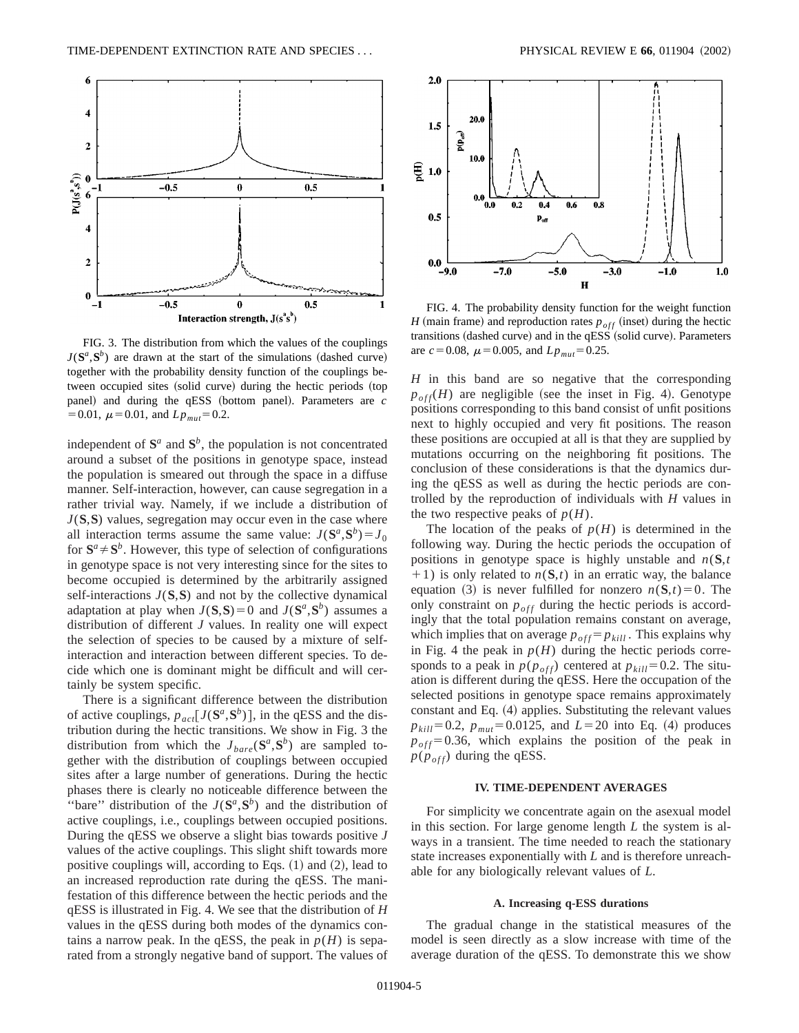

FIG. 3. The distribution from which the values of the couplings  $J(\mathbf{S}^a, \mathbf{S}^b)$  are drawn at the start of the simulations (dashed curve) together with the probability density function of the couplings between occupied sites (solid curve) during the hectic periods (top panel) and during the qESS (bottom panel). Parameters are *c*  $=0.01, \ \mu=0.01, \text{ and } Lp_{mut}=0.2.$ 

independent of  $S^a$  and  $S^b$ , the population is not concentrated around a subset of the positions in genotype space, instead the population is smeared out through the space in a diffuse manner. Self-interaction, however, can cause segregation in a rather trivial way. Namely, if we include a distribution of *J*(**S**,**S**) values, segregation may occur even in the case where all interaction terms assume the same value:  $J(\mathbf{S}^a, \mathbf{S}^b) = J_0$ for  $S^a \neq S^b$ . However, this type of selection of configurations in genotype space is not very interesting since for the sites to become occupied is determined by the arbitrarily assigned self-interactions  $J(S, S)$  and not by the collective dynamical adaptation at play when  $J(S, S) = 0$  and  $J(S^a, S^b)$  assumes a distribution of different *J* values. In reality one will expect the selection of species to be caused by a mixture of selfinteraction and interaction between different species. To decide which one is dominant might be difficult and will certainly be system specific.

There is a significant difference between the distribution of active couplings,  $p_{act}[J(\mathbf{S}^a, \mathbf{S}^b)]$ , in the qESS and the distribution during the hectic transitions. We show in Fig. 3 the distribution from which the  $J_{bare}(\mathbf{S}^a, \mathbf{S}^b)$  are sampled together with the distribution of couplings between occupied sites after a large number of generations. During the hectic phases there is clearly no noticeable difference between the "bare" distribution of the  $J(\mathbf{S}^a, \mathbf{S}^b)$  and the distribution of active couplings, i.e., couplings between occupied positions. During the qESS we observe a slight bias towards positive *J* values of the active couplings. This slight shift towards more positive couplings will, according to Eqs.  $(1)$  and  $(2)$ , lead to an increased reproduction rate during the qESS. The manifestation of this difference between the hectic periods and the qESS is illustrated in Fig. 4. We see that the distribution of *H* values in the qESS during both modes of the dynamics contains a narrow peak. In the qESS, the peak in  $p(H)$  is separated from a strongly negative band of support. The values of



FIG. 4. The probability density function for the weight function *H* (main frame) and reproduction rates  $p_{off}$  (inset) during the hectic transitions (dashed curve) and in the qESS (solid curve). Parameters are  $c = 0.08$ ,  $\mu = 0.005$ , and  $Lp_{mut} = 0.25$ .

*H* in this band are so negative that the corresponding  $p_{off}(H)$  are negligible (see the inset in Fig. 4). Genotype positions corresponding to this band consist of unfit positions next to highly occupied and very fit positions. The reason these positions are occupied at all is that they are supplied by mutations occurring on the neighboring fit positions. The conclusion of these considerations is that the dynamics during the qESS as well as during the hectic periods are controlled by the reproduction of individuals with *H* values in the two respective peaks of  $p(H)$ .

The location of the peaks of  $p(H)$  is determined in the following way. During the hectic periods the occupation of positions in genotype space is highly unstable and  $n(S, t)$  $+1$ ) is only related to  $n(S,t)$  in an erratic way, the balance equation (3) is never fulfilled for nonzero  $n(S,t)=0$ . The only constraint on  $p_{off}$  during the hectic periods is accordingly that the total population remains constant on average, which implies that on average  $p_{off} = p_{kill}$ . This explains why in Fig. 4 the peak in  $p(H)$  during the hectic periods corresponds to a peak in  $p(p_{off})$  centered at  $p_{kill} = 0.2$ . The situation is different during the qESS. Here the occupation of the selected positions in genotype space remains approximately constant and Eq. (4) applies. Substituting the relevant values  $p_{kill} = 0.2$ ,  $p_{mut} = 0.0125$ , and  $L = 20$  into Eq. (4) produces  $p_{off}$ =0.36, which explains the position of the peak in  $p(p_{off})$  during the qESS.

# **IV. TIME-DEPENDENT AVERAGES**

For simplicity we concentrate again on the asexual model in this section. For large genome length *L* the system is always in a transient. The time needed to reach the stationary state increases exponentially with *L* and is therefore unreachable for any biologically relevant values of *L*.

#### **A. Increasing q-ESS durations**

The gradual change in the statistical measures of the model is seen directly as a slow increase with time of the average duration of the qESS. To demonstrate this we show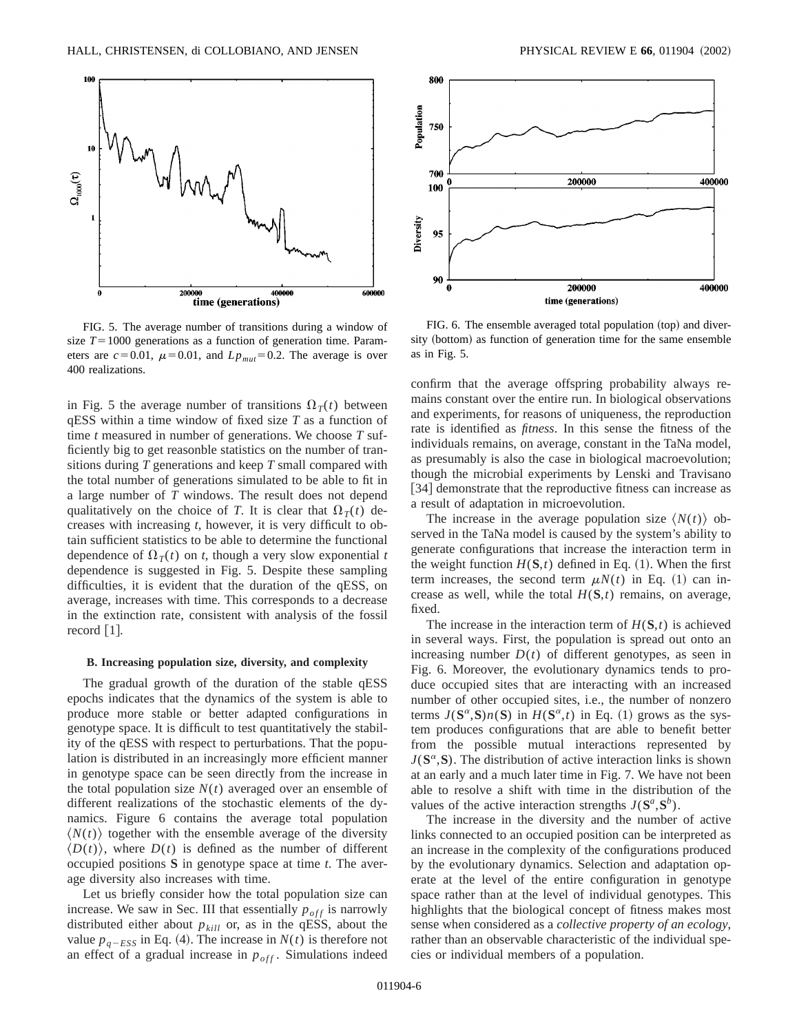

FIG. 5. The average number of transitions during a window of size  $T=1000$  generations as a function of generation time. Parameters are  $c=0.01$ ,  $\mu=0.01$ , and  $Lp_{mut}=0.2$ . The average is over 400 realizations.

in Fig. 5 the average number of transitions  $\Omega_T(t)$  between qESS within a time window of fixed size *T* as a function of time *t* measured in number of generations. We choose *T* sufficiently big to get reasonble statistics on the number of transitions during *T* generations and keep *T* small compared with the total number of generations simulated to be able to fit in a large number of *T* windows. The result does not depend qualitatively on the choice of *T*. It is clear that  $\Omega_T(t)$  decreases with increasing *t*, however, it is very difficult to obtain sufficient statistics to be able to determine the functional dependence of  $\Omega_T(t)$  on *t*, though a very slow exponential *t* dependence is suggested in Fig. 5. Despite these sampling difficulties, it is evident that the duration of the qESS, on average, increases with time. This corresponds to a decrease in the extinction rate, consistent with analysis of the fossil record  $[1]$ .

#### **B. Increasing population size, diversity, and complexity**

The gradual growth of the duration of the stable qESS epochs indicates that the dynamics of the system is able to produce more stable or better adapted configurations in genotype space. It is difficult to test quantitatively the stability of the qESS with respect to perturbations. That the population is distributed in an increasingly more efficient manner in genotype space can be seen directly from the increase in the total population size  $N(t)$  averaged over an ensemble of different realizations of the stochastic elements of the dynamics. Figure 6 contains the average total population  $\langle N(t) \rangle$  together with the ensemble average of the diversity  $\langle D(t) \rangle$ , where  $D(t)$  is defined as the number of different occupied positions **S** in genotype space at time *t*. The average diversity also increases with time.

Let us briefly consider how the total population size can increase. We saw in Sec. III that essentially  $p_{off}$  is narrowly distributed either about  $p_{kill}$  or, as in the qESS, about the value  $p_{q-ESS}$  in Eq. (4). The increase in  $N(t)$  is therefore not an effect of a gradual increase in  $p_{off}$ . Simulations indeed



FIG. 6. The ensemble averaged total population (top) and diversity (bottom) as function of generation time for the same ensemble as in Fig. 5.

confirm that the average offspring probability always remains constant over the entire run. In biological observations and experiments, for reasons of uniqueness, the reproduction rate is identified as *fitness*. In this sense the fitness of the individuals remains, on average, constant in the TaNa model, as presumably is also the case in biological macroevolution; though the microbial experiments by Lenski and Travisano [34] demonstrate that the reproductive fitness can increase as a result of adaptation in microevolution.

The increase in the average population size  $\langle N(t) \rangle$  observed in the TaNa model is caused by the system's ability to generate configurations that increase the interaction term in the weight function  $H(\mathbf{S},t)$  defined in Eq. (1). When the first term increases, the second term  $\mu N(t)$  in Eq. (1) can increase as well, while the total  $H(S,t)$  remains, on average, fixed.

The increase in the interaction term of  $H(S,t)$  is achieved in several ways. First, the population is spread out onto an increasing number  $D(t)$  of different genotypes, as seen in Fig. 6. Moreover, the evolutionary dynamics tends to produce occupied sites that are interacting with an increased number of other occupied sites, i.e., the number of nonzero terms  $J(\mathbf{S}^{\alpha}, \mathbf{S})n(\mathbf{S})$  in  $H(\mathbf{S}^{\alpha}, t)$  in Eq. (1) grows as the system produces configurations that are able to benefit better from the possible mutual interactions represented by  $J(\mathbf{S}^{\alpha}, \mathbf{S})$ . The distribution of active interaction links is shown at an early and a much later time in Fig. 7. We have not been able to resolve a shift with time in the distribution of the values of the active interaction strengths  $J(\mathbf{S}^a, \mathbf{S}^b)$ .

The increase in the diversity and the number of active links connected to an occupied position can be interpreted as an increase in the complexity of the configurations produced by the evolutionary dynamics. Selection and adaptation operate at the level of the entire configuration in genotype space rather than at the level of individual genotypes. This highlights that the biological concept of fitness makes most sense when considered as a *collective property of an ecology*, rather than an observable characteristic of the individual species or individual members of a population.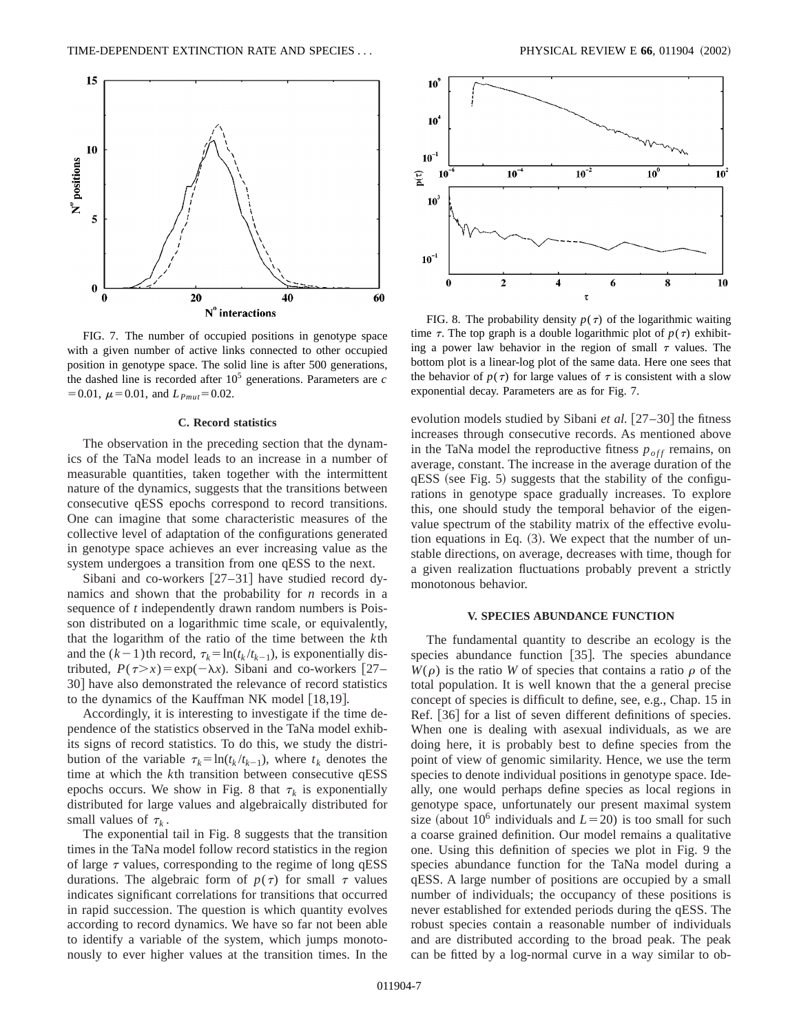

FIG. 7. The number of occupied positions in genotype space with a given number of active links connected to other occupied position in genotype space. The solid line is after 500 generations, the dashed line is recorded after  $10<sup>5</sup>$  generations. Parameters are *c*  $=0.01, \ \mu=0.01, \text{ and } L_{Pmut}=0.02.$ 

#### **C. Record statistics**

The observation in the preceding section that the dynamics of the TaNa model leads to an increase in a number of measurable quantities, taken together with the intermittent nature of the dynamics, suggests that the transitions between consecutive qESS epochs correspond to record transitions. One can imagine that some characteristic measures of the collective level of adaptation of the configurations generated in genotype space achieves an ever increasing value as the system undergoes a transition from one qESS to the next.

Sibani and co-workers  $[27-31]$  have studied record dynamics and shown that the probability for *n* records in a sequence of *t* independently drawn random numbers is Poisson distributed on a logarithmic time scale, or equivalently, that the logarithm of the ratio of the time between the *k*th and the  $(k-1)$ th record,  $\tau_k = \ln(t_k / t_{k-1})$ , is exponentially distributed,  $P(\tau > x) = \exp(-\lambda x)$ . Sibani and co-workers [27– 30 have also demonstrated the relevance of record statistics to the dynamics of the Kauffman NK model  $[18,19]$ .

Accordingly, it is interesting to investigate if the time dependence of the statistics observed in the TaNa model exhibits signs of record statistics. To do this, we study the distribution of the variable  $\tau_k = \ln(t_k / t_{k-1})$ , where  $t_k$  denotes the time at which the *k*th transition between consecutive qESS epochs occurs. We show in Fig. 8 that  $\tau_k$  is exponentially distributed for large values and algebraically distributed for small values of  $\tau_k$ .

The exponential tail in Fig. 8 suggests that the transition times in the TaNa model follow record statistics in the region of large  $\tau$  values, corresponding to the regime of long qESS durations. The algebraic form of  $p(\tau)$  for small  $\tau$  values indicates significant correlations for transitions that occurred in rapid succession. The question is which quantity evolves according to record dynamics. We have so far not been able to identify a variable of the system, which jumps monotonously to ever higher values at the transition times. In the



FIG. 8. The probability density  $p(\tau)$  of the logarithmic waiting time  $\tau$ . The top graph is a double logarithmic plot of  $p(\tau)$  exhibiting a power law behavior in the region of small  $\tau$  values. The bottom plot is a linear-log plot of the same data. Here one sees that the behavior of  $p(\tau)$  for large values of  $\tau$  is consistent with a slow exponential decay. Parameters are as for Fig. 7.

evolution models studied by Sibani *et al.* [27–30] the fitness increases through consecutive records. As mentioned above in the TaNa model the reproductive fitness  $p_{off}$  remains, on average, constant. The increase in the average duration of the  $qESS$  (see Fig. 5) suggests that the stability of the configurations in genotype space gradually increases. To explore this, one should study the temporal behavior of the eigenvalue spectrum of the stability matrix of the effective evolution equations in Eq.  $(3)$ . We expect that the number of unstable directions, on average, decreases with time, though for a given realization fluctuations probably prevent a strictly monotonous behavior.

### **V. SPECIES ABUNDANCE FUNCTION**

The fundamental quantity to describe an ecology is the species abundance function  $[35]$ . The species abundance  $W(\rho)$  is the ratio *W* of species that contains a ratio  $\rho$  of the total population. It is well known that the a general precise concept of species is difficult to define, see, e.g., Chap. 15 in Ref. [36] for a list of seven different definitions of species. When one is dealing with asexual individuals, as we are doing here, it is probably best to define species from the point of view of genomic similarity. Hence, we use the term species to denote individual positions in genotype space. Ideally, one would perhaps define species as local regions in genotype space, unfortunately our present maximal system size (about  $10^6$  individuals and  $L=20$ ) is too small for such a coarse grained definition. Our model remains a qualitative one. Using this definition of species we plot in Fig. 9 the species abundance function for the TaNa model during a qESS. A large number of positions are occupied by a small number of individuals; the occupancy of these positions is never established for extended periods during the qESS. The robust species contain a reasonable number of individuals and are distributed according to the broad peak. The peak can be fitted by a log-normal curve in a way similar to ob-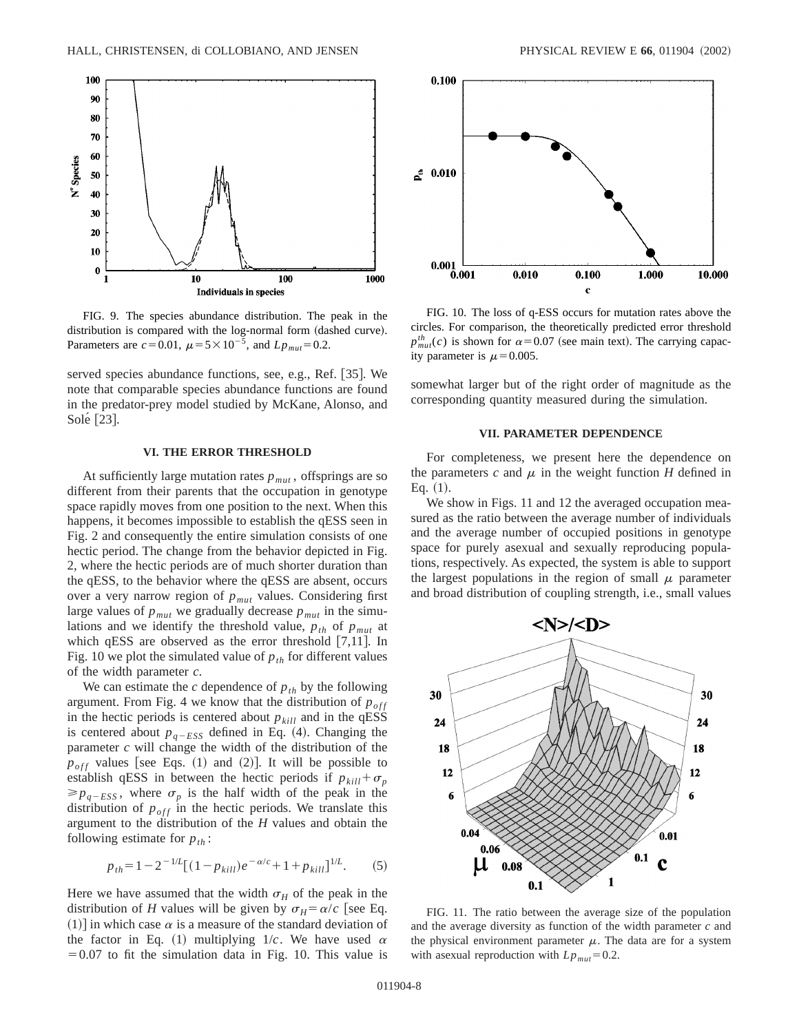

FIG. 9. The species abundance distribution. The peak in the distribution is compared with the log-normal form (dashed curve). Parameters are  $c = 0.01$ ,  $\mu = 5 \times 10^{-5}$ , and  $L_{p_{mut}} = 0.2$ .

served species abundance functions, see, e.g., Ref.  $[35]$ . We note that comparable species abundance functions are found in the predator-prey model studied by McKane, Alonso, and Solé  $\lceil 23 \rceil$ .

### **VI. THE ERROR THRESHOLD**

At sufficiently large mutation rates  $p_{mut}$ , offsprings are so different from their parents that the occupation in genotype space rapidly moves from one position to the next. When this happens, it becomes impossible to establish the qESS seen in Fig. 2 and consequently the entire simulation consists of one hectic period. The change from the behavior depicted in Fig. 2, where the hectic periods are of much shorter duration than the qESS, to the behavior where the qESS are absent, occurs over a very narrow region of  $p<sub>mut</sub>$  values. Considering first large values of  $p_{mut}$  we gradually decrease  $p_{mut}$  in the simulations and we identify the threshold value,  $p_{th}$  of  $p_{mut}$  at which qESS are observed as the error threshold  $[7,11]$ . In Fig. 10 we plot the simulated value of  $p_{th}$  for different values of the width parameter *c*.

We can estimate the  $c$  dependence of  $p_{th}$  by the following argument. From Fig. 4 we know that the distribution of  $p_{off}$ in the hectic periods is centered about  $p_{kill}$  and in the  $qESS$ is centered about  $p_{q-ESS}$  defined in Eq. (4). Changing the parameter *c* will change the width of the distribution of the  $p_{off}$  values [see Eqs. (1) and (2)]. It will be possible to establish qESS in between the hectic periods if  $p_{kill} + \sigma_p$  $\geq p_{q-ESS}$ , where  $\sigma_p$  is the half width of the peak in the distribution of  $p_{off}$  in the hectic periods. We translate this argument to the distribution of the *H* values and obtain the following estimate for  $p_{th}$ :

$$
p_{th} = 1 - 2^{-1/L} [(1 - p_{kill})e^{-\alpha/c} + 1 + p_{kill}]^{1/L}.
$$
 (5)

Here we have assumed that the width  $\sigma_H$  of the peak in the distribution of *H* values will be given by  $\sigma_H = \alpha/c$  [see Eq. (1)] in which case  $\alpha$  is a measure of the standard deviation of the factor in Eq. (1) multiplying  $1/c$ . We have used  $\alpha$  $=0.07$  to fit the simulation data in Fig. 10. This value is



FIG. 10. The loss of q-ESS occurs for mutation rates above the circles. For comparison, the theoretically predicted error threshold  $p_{mut}^{th}(c)$  is shown for  $\alpha$ =0.07 (see main text). The carrying capacity parameter is  $\mu$  = 0.005.

somewhat larger but of the right order of magnitude as the corresponding quantity measured during the simulation.

# **VII. PARAMETER DEPENDENCE**

For completeness, we present here the dependence on the parameters  $c$  and  $\mu$  in the weight function  $H$  defined in Eq.  $(1)$ .

We show in Figs. 11 and 12 the averaged occupation measured as the ratio between the average number of individuals and the average number of occupied positions in genotype space for purely asexual and sexually reproducing populations, respectively. As expected, the system is able to support the largest populations in the region of small  $\mu$  parameter and broad distribution of coupling strength, i.e., small values



FIG. 11. The ratio between the average size of the population and the average diversity as function of the width parameter *c* and the physical environment parameter  $\mu$ . The data are for a system with asexual reproduction with  $L_{p_{mut}}=0.2$ .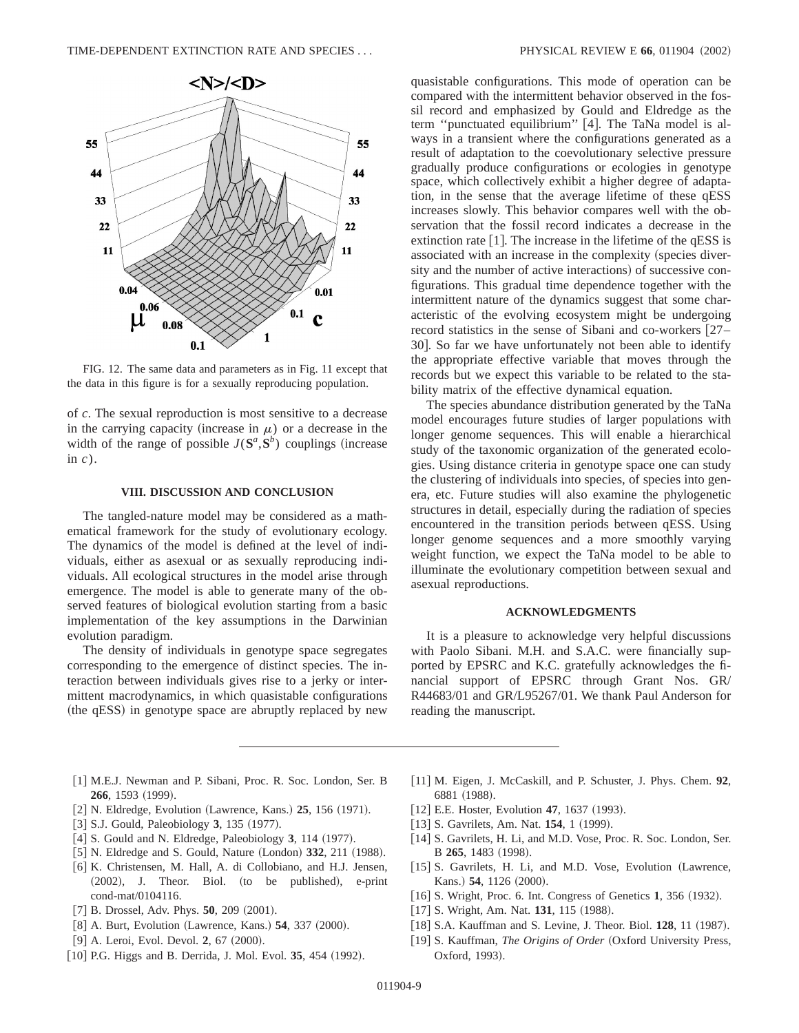

FIG. 12. The same data and parameters as in Fig. 11 except that the data in this figure is for a sexually reproducing population.

of *c*. The sexual reproduction is most sensitive to a decrease in the carrying capacity (increase in  $\mu$ ) or a decrease in the width of the range of possible  $J(\mathbf{S}^a, \mathbf{S}^b)$  couplings (increase in *c*).

#### **VIII. DISCUSSION AND CONCLUSION**

The tangled-nature model may be considered as a mathematical framework for the study of evolutionary ecology. The dynamics of the model is defined at the level of individuals, either as asexual or as sexually reproducing individuals. All ecological structures in the model arise through emergence. The model is able to generate many of the observed features of biological evolution starting from a basic implementation of the key assumptions in the Darwinian evolution paradigm.

The density of individuals in genotype space segregates corresponding to the emergence of distinct species. The interaction between individuals gives rise to a jerky or intermittent macrodynamics, in which quasistable configurations (the qESS) in genotype space are abruptly replaced by new quasistable configurations. This mode of operation can be compared with the intermittent behavior observed in the fossil record and emphasized by Gould and Eldredge as the term "punctuated equilibrium" [4]. The TaNa model is always in a transient where the configurations generated as a result of adaptation to the coevolutionary selective pressure gradually produce configurations or ecologies in genotype space, which collectively exhibit a higher degree of adaptation, in the sense that the average lifetime of these qESS increases slowly. This behavior compares well with the observation that the fossil record indicates a decrease in the extinction rate  $[1]$ . The increase in the lifetime of the qESS is associated with an increase in the complexity (species diversity and the number of active interactions) of successive configurations. This gradual time dependence together with the intermittent nature of the dynamics suggest that some characteristic of the evolving ecosystem might be undergoing record statistics in the sense of Sibani and co-workers  $[27-$ 30]. So far we have unfortunately not been able to identify the appropriate effective variable that moves through the records but we expect this variable to be related to the stability matrix of the effective dynamical equation.

The species abundance distribution generated by the TaNa model encourages future studies of larger populations with longer genome sequences. This will enable a hierarchical study of the taxonomic organization of the generated ecologies. Using distance criteria in genotype space one can study the clustering of individuals into species, of species into genera, etc. Future studies will also examine the phylogenetic structures in detail, especially during the radiation of species encountered in the transition periods between qESS. Using longer genome sequences and a more smoothly varying weight function, we expect the TaNa model to be able to illuminate the evolutionary competition between sexual and asexual reproductions.

#### **ACKNOWLEDGMENTS**

It is a pleasure to acknowledge very helpful discussions with Paolo Sibani. M.H. and S.A.C. were financially supported by EPSRC and K.C. gratefully acknowledges the financial support of EPSRC through Grant Nos. GR/ R44683/01 and GR/L95267/01. We thank Paul Anderson for reading the manuscript.

- [1] M.E.J. Newman and P. Sibani, Proc. R. Soc. London, Ser. B **266**, 1593 (1999).
- [2] N. Eldredge, Evolution (Lawrence, Kans.) **25**, 156 (1971).
- [3] S.J. Gould, Paleobiology **3**, 135 (1977).
- [4] S. Gould and N. Eldredge, Paleobiology 3, 114 (1977).
- [5] N. Eldredge and S. Gould, Nature (London) 332, 211 (1988).
- [6] K. Christensen, M. Hall, A. di Collobiano, and H.J. Jensen,  $(2002)$ , J. Theor. Biol.  $(to$  be published), e-print cond-mat/0104116.
- [7] B. Drossel, Adv. Phys. **50**, 209 (2001).
- [8] A. Burt, Evolution (Lawrence, Kans.) **54**, 337 (2000).
- [9] A. Leroi, Evol. Devol. 2, 67 (2000).
- [10] P.G. Higgs and B. Derrida, J. Mol. Evol. **35**, 454 (1992).
- [11] M. Eigen, J. McCaskill, and P. Schuster, J. Phys. Chem. 92, 6881 (1988).
- [12] E.E. Hoster, Evolution **47**, 1637 (1993).
- [13] S. Gavrilets, Am. Nat. **154**, 1 (1999).
- [14] S. Gavrilets, H. Li, and M.D. Vose, Proc. R. Soc. London, Ser. B 265, 1483 (1998).
- [15] S. Gavrilets, H. Li, and M.D. Vose, Evolution (Lawrence, Kans.) 54, 1126 (2000).
- [16] S. Wright, Proc. 6. Int. Congress of Genetics 1, 356 (1932).
- [17] S. Wright, Am. Nat. 131, 115 (1988).
- [18] S.A. Kauffman and S. Levine, J. Theor. Biol. **128**, 11 (1987).
- [19] S. Kauffman, *The Origins of Order* (Oxford University Press, Oxford, 1993).